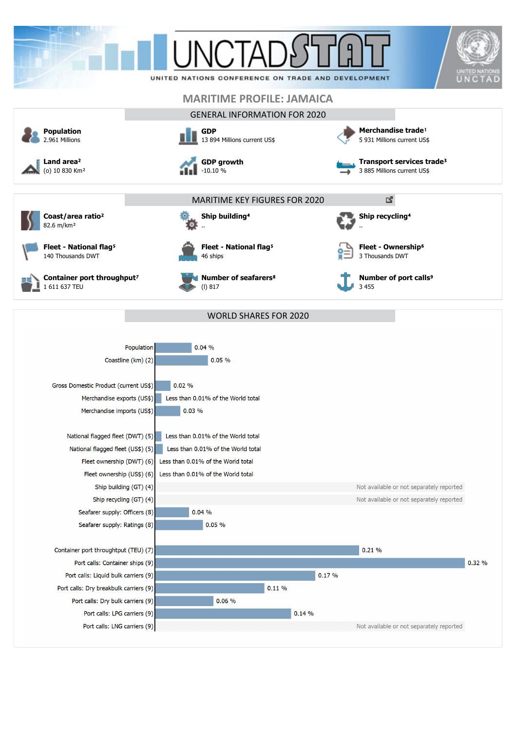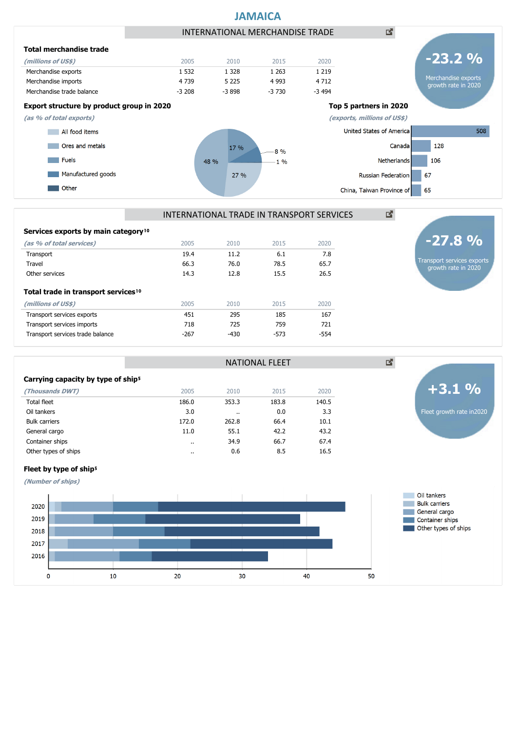

| INTERNATIONAL TRADE IN TRANSPORT SERVICES |  |
|-------------------------------------------|--|
|                                           |  |

NATIONAL FLEET

| Services exports by main category <sup>10</sup>                       |        |        |        |        |
|-----------------------------------------------------------------------|--------|--------|--------|--------|
| (as % of total services)                                              | 2005   | 2010   | 2015   | 2020   |
| Transport                                                             | 19.4   | 11.2   | 6.1    | 7.8    |
| Travel                                                                | 66.3   | 76.0   | 78.5   | 65.7   |
| Other services                                                        | 14.3   | 12.8   | 15.5   | 26.5   |
| Total trade in transport services <sup>10</sup><br>(millions of US\$) | 2005   | 2010   | 2015   | 2020   |
| Transport services exports                                            | 451    | 295    | 185    | 167    |
| Transport services imports                                            | 718    | 725    | 759    | 721    |
| Transport services trade balance                                      | $-267$ | $-430$ | $-573$ | $-554$ |
|                                                                       |        |        |        |        |

#### **Carrying capacity by type of ship**<sup>5</sup>

| $\frac{1}{2}$        |           |           |       |       |
|----------------------|-----------|-----------|-------|-------|
| (Thousands DWT)      | 2005      | 2010      | 2015  | 2020  |
| <b>Total fleet</b>   | 186.0     | 353.3     | 183.8 | 140.5 |
| Oil tankers          | 3.0       | $\cdot$ . | 0.0   | 3.3   |
| <b>Bulk carriers</b> | 172.0     | 262.8     | 66.4  | 10.1  |
| General cargo        | 11.0      | 55.1      | 42.2  | 43.2  |
| Container ships      | $\cdot$ . | 34.9      | 66.7  | 67.4  |
| Other types of ships | $\cdot$ . | 0.6       | 8.5   | 16.5  |
|                      |           |           |       |       |



Transport services exports growth rate in 2020

**-27.8 %**

# Fleet by type of ship<sup>5</sup>

**(Number of ships)**

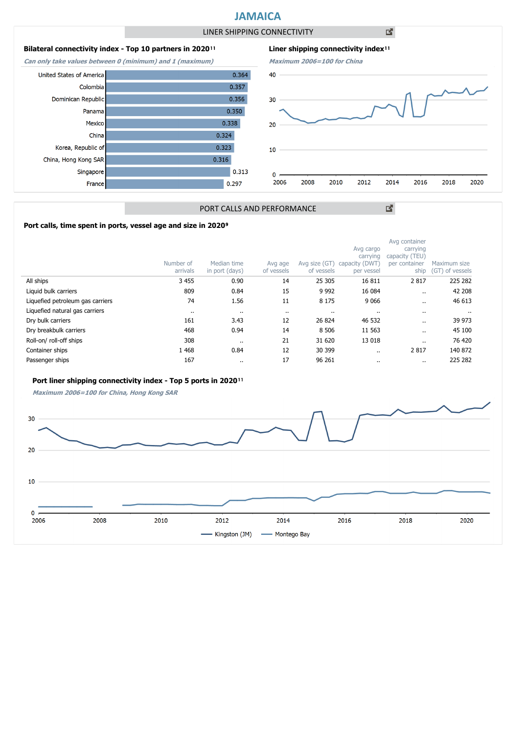# **JAMAICA**

LINER SHIPPING CONNECTIVITY

凶

## **Bilateral connectivity index - Top 10 partners in 2020**<sup>11</sup>

**Can only take values between 0 (minimum) and 1 (maximum)**





図

## PORT CALLS AND PERFORMANCE

### Port calls, time spent in ports, vessel age and size in 2020<sup>9</sup>

|                                  | Number of<br>arrivals | Median time<br>in port (days) | Avg age<br>of vessels | Avg size (GT)<br>of vessels | Avg cargo<br>carrying<br>capacity (DWT)<br>per vessel | Avg container<br>carrying<br>capacity (TEU)<br>per container<br>ship | Maximum size<br>(GT) of vessels |
|----------------------------------|-----------------------|-------------------------------|-----------------------|-----------------------------|-------------------------------------------------------|----------------------------------------------------------------------|---------------------------------|
| All ships                        | 3 4 5 5               | 0.90                          | 14                    | 25 305                      | 16811                                                 | 2817                                                                 | 225 282                         |
| Liquid bulk carriers             | 809                   | 0.84                          | 15                    | 9 9 9 2                     | 16 084                                                | $\cdot$ .                                                            | 42 208                          |
| Liquefied petroleum gas carriers | 74                    | 1.56                          | 11                    | 8 1 7 5                     | 9 0 6 6                                               |                                                                      | 46 613                          |
| Liquefied natural gas carriers   | $\cdot$ .             |                               | $\cdot$ .             | $\cdots$                    |                                                       |                                                                      |                                 |
| Dry bulk carriers                | 161                   | 3.43                          | 12                    | 26 824                      | 46 532                                                | $\cdot$ .                                                            | 39 973                          |
| Dry breakbulk carriers           | 468                   | 0.94                          | 14                    | 8 5 0 6                     | 11 563                                                | $\cdot$ .                                                            | 45 100                          |
| Roll-on/roll-off ships           | 308                   |                               | 21                    | 31 620                      | 13 018                                                | $\cdot$ .                                                            | 76 420                          |
| Container ships                  | 1 4 6 8               | 0.84                          | 12                    | 30 399                      | $\cdots$                                              | 2817                                                                 | 140 872                         |
| Passenger ships                  | 167                   |                               | 17                    | 96 261                      | $\cdots$                                              | $\cdots$                                                             | 225 282                         |

### Port liner shipping connectivity index - Top 5 ports in 2020<sup>11</sup>

**Maximum 2006=100 for China, Hong Kong SAR**